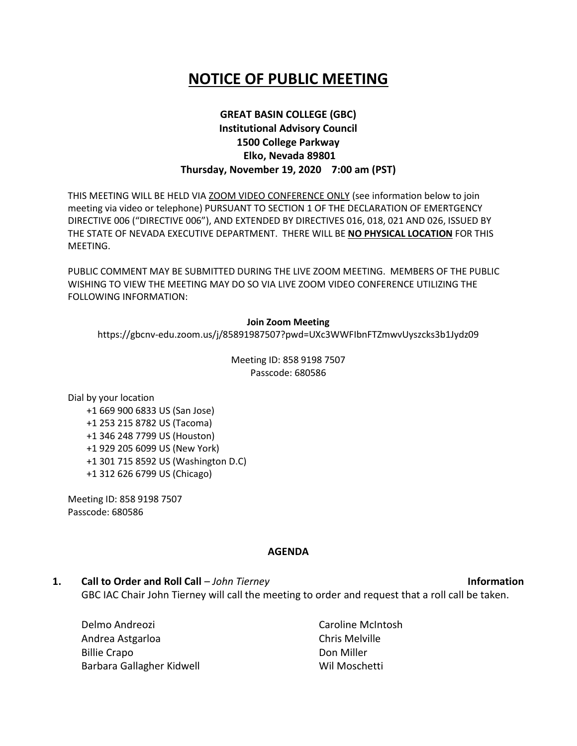# **NOTICE OF PUBLIC MEETING**

### **GREAT BASIN COLLEGE (GBC) Institutional Advisory Council 1500 College Parkway Elko, Nevada 89801 Thursday, November 19, 2020 7:00 am (PST)**

THIS MEETING WILL BE HELD VIA ZOOM VIDEO CONFERENCE ONLY (see information below to join meeting via video or telephone) PURSUANT TO SECTION 1 OF THE DECLARATION OF EMERTGENCY DIRECTIVE 006 ("DIRECTIVE 006"), AND EXTENDED BY DIRECTIVES 016, 018, 021 AND 026, ISSUED BY THE STATE OF NEVADA EXECUTIVE DEPARTMENT. THERE WILL BE **NO PHYSICAL LOCATION** FOR THIS MEETING.

PUBLIC COMMENT MAY BE SUBMITTED DURING THE LIVE ZOOM MEETING. MEMBERS OF THE PUBLIC WISHING TO VIEW THE MEETING MAY DO SO VIA LIVE ZOOM VIDEO CONFERENCE UTILIZING THE FOLLOWING INFORMATION:

#### **Join Zoom Meeting**

https://gbcnv-edu.zoom.us/j/85891987507?pwd=UXc3WWFIbnFTZmwvUyszcks3b1Jydz09

Meeting ID: 858 9198 7507 Passcode: 680586

Dial by your location

 +1 669 900 6833 US (San Jose) +1 253 215 8782 US (Tacoma) +1 346 248 7799 US (Houston) +1 929 205 6099 US (New York) +1 301 715 8592 US (Washington D.C) +1 312 626 6799 US (Chicago)

Meeting ID: 858 9198 7507 Passcode: 680586

#### **AGENDA**

**1. Call to Order and Roll Call** – *John Tierney* **Information** GBC IAC Chair John Tierney will call the meeting to order and request that a roll call be taken.

| Caroline McIntosh<br>Delmo Andreozi |                |
|-------------------------------------|----------------|
| Andrea Astgarloa                    | Chris Melville |
| <b>Billie Crapo</b>                 | Don Miller     |
| Barbara Gallagher Kidwell           | Wil Moschetti  |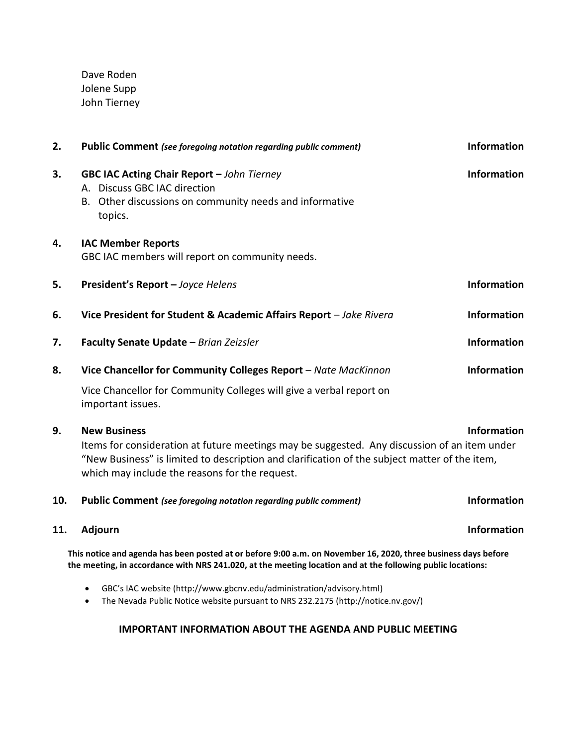Dave Roden Jolene Supp John Tierney

| 2.                                                                                                                                                                                                                            | <b>Public Comment</b> (see foregoing notation regarding public comment)                                                                                                                                                                                                | <b>Information</b> |
|-------------------------------------------------------------------------------------------------------------------------------------------------------------------------------------------------------------------------------|------------------------------------------------------------------------------------------------------------------------------------------------------------------------------------------------------------------------------------------------------------------------|--------------------|
| 3.                                                                                                                                                                                                                            | <b>GBC IAC Acting Chair Report - John Tierney</b><br>A. Discuss GBC IAC direction<br>B. Other discussions on community needs and informative<br>topics.                                                                                                                | <b>Information</b> |
| 4.                                                                                                                                                                                                                            | <b>IAC Member Reports</b><br>GBC IAC members will report on community needs.                                                                                                                                                                                           |                    |
| 5.                                                                                                                                                                                                                            | President's Report - Joyce Helens                                                                                                                                                                                                                                      | <b>Information</b> |
| 6.                                                                                                                                                                                                                            | Vice President for Student & Academic Affairs Report - Jake Rivera                                                                                                                                                                                                     | <b>Information</b> |
| 7.                                                                                                                                                                                                                            | Faculty Senate Update - Brian Zeizsler                                                                                                                                                                                                                                 | <b>Information</b> |
| 8.                                                                                                                                                                                                                            | Vice Chancellor for Community Colleges Report - Nate MacKinnon                                                                                                                                                                                                         | <b>Information</b> |
|                                                                                                                                                                                                                               | Vice Chancellor for Community Colleges will give a verbal report on<br>important issues.                                                                                                                                                                               |                    |
| 9.                                                                                                                                                                                                                            | <b>New Business</b><br>Items for consideration at future meetings may be suggested. Any discussion of an item under<br>"New Business" is limited to description and clarification of the subject matter of the item,<br>which may include the reasons for the request. | <b>Information</b> |
| 10.                                                                                                                                                                                                                           | Public Comment (see foregoing notation regarding public comment)                                                                                                                                                                                                       | <b>Information</b> |
| 11.                                                                                                                                                                                                                           | Adjourn                                                                                                                                                                                                                                                                | <b>Information</b> |
| This notice and agenda has been posted at or before 9:00 a.m. on November 16, 2020, three business days before<br>the meeting, in accordance with NRS 241.020, at the meeting location and at the following public locations: |                                                                                                                                                                                                                                                                        |                    |
|                                                                                                                                                                                                                               | GBC's IAC website (http://www.gbcnv.edu/administration/advisory.html)<br>$\bullet$<br>The Nevada Public Notice website pursuant to NRS 232.2175 (http://notice.nv.gov/)<br>$\bullet$                                                                                   |                    |

## **IMPORTANT INFORMATION ABOUT THE AGENDA AND PUBLIC MEETING**